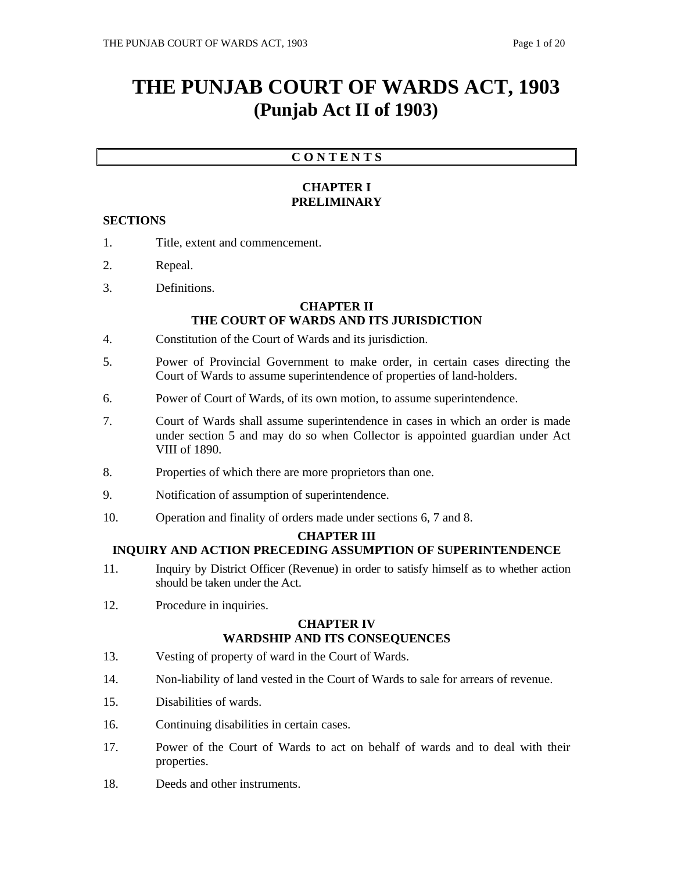# **THE PUNJAB COURT OF WARDS ACT, 1903 (Punjab Act II of 1903)**

## **C O N T E N T S**

## **CHAPTER I PRELIMINARY**

## **SECTIONS**

- 1. Title, extent and commencement.
- 2. Repeal.
- 3. Definitions.

## **CHAPTER II THE COURT OF WARDS AND ITS JURISDICTION**

- 4. Constitution of the Court of Wards and its jurisdiction.
- 5. Power of Provincial Government to make order, in certain cases directing the Court of Wards to assume superintendence of properties of land-holders.
- 6. Power of Court of Wards, of its own motion, to assume superintendence.
- 7. Court of Wards shall assume superintendence in cases in which an order is made under section 5 and may do so when Collector is appointed guardian under Act VIII of 1890.
- 8. Properties of which there are more proprietors than one.
- 9. Notification of assumption of superintendence.
- 10. Operation and finality of orders made under sections 6, 7 and 8.

## **CHAPTER III**

## **INQUIRY AND ACTION PRECEDING ASSUMPTION OF SUPERINTENDENCE**

- 11. Inquiry by District Officer (Revenue) in order to satisfy himself as to whether action should be taken under the Act.
- 12. Procedure in inquiries.

## **CHAPTER IV WARDSHIP AND ITS CONSEQUENCES**

- 13. Vesting of property of ward in the Court of Wards.
- 14. Non-liability of land vested in the Court of Wards to sale for arrears of revenue.
- 15. Disabilities of wards.
- 16. Continuing disabilities in certain cases.
- 17. Power of the Court of Wards to act on behalf of wards and to deal with their properties.
- 18. Deeds and other instruments.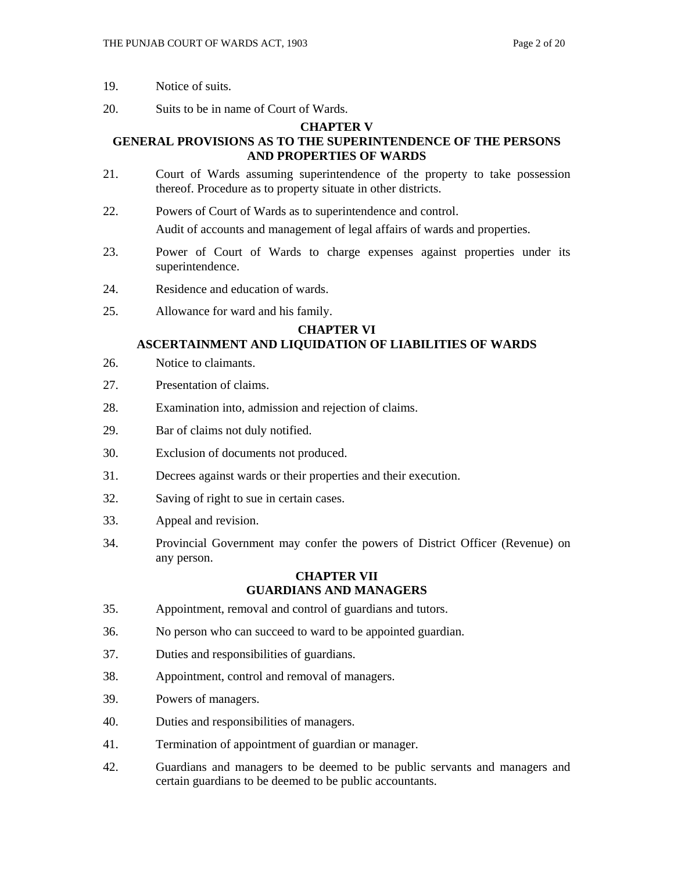- 19. Notice of suits.
- 20. Suits to be in name of Court of Wards.

#### **CHAPTER V**

## **GENERAL PROVISIONS AS TO THE SUPERINTENDENCE OF THE PERSONS AND PROPERTIES OF WARDS**

- 21. Court of Wards assuming superintendence of the property to take possession thereof. Procedure as to property situate in other districts.
- 22. Powers of Court of Wards as to superintendence and control. Audit of accounts and management of legal affairs of wards and properties.
- 23. Power of Court of Wards to charge expenses against properties under its superintendence.
- 24. Residence and education of wards.
- 25. Allowance for ward and his family.

## **CHAPTER VI**

## **ASCERTAINMENT AND LIQUIDATION OF LIABILITIES OF WARDS**

- 26. Notice to claimants.
- 27. Presentation of claims.
- 28. Examination into, admission and rejection of claims.
- 29. Bar of claims not duly notified.
- 30. Exclusion of documents not produced.
- 31. Decrees against wards or their properties and their execution.
- 32. Saving of right to sue in certain cases.
- 33. Appeal and revision.
- 34. Provincial Government may confer the powers of District Officer (Revenue) on any person.

#### **CHAPTER VII GUARDIANS AND MANAGERS**

- 35. Appointment, removal and control of guardians and tutors.
- 36. No person who can succeed to ward to be appointed guardian.
- 37. Duties and responsibilities of guardians.
- 38. Appointment, control and removal of managers.
- 39. Powers of managers.
- 40. Duties and responsibilities of managers.
- 41. Termination of appointment of guardian or manager.
- 42. Guardians and managers to be deemed to be public servants and managers and certain guardians to be deemed to be public accountants.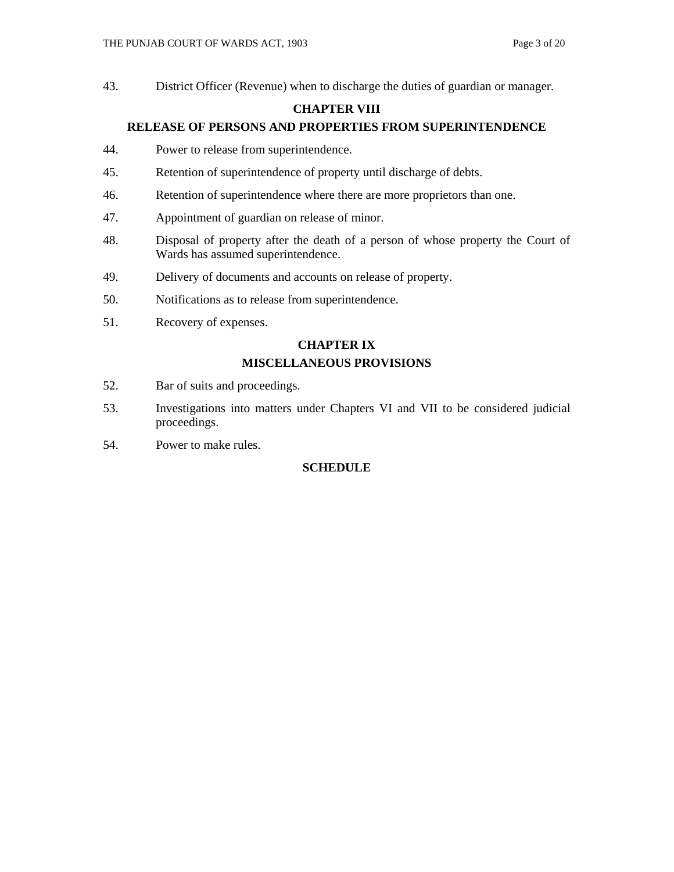43. District Officer (Revenue) when to discharge the duties of guardian or manager.

## **CHAPTER VIII**

## **RELEASE OF PERSONS AND PROPERTIES FROM SUPERINTENDENCE**

- 44. Power to release from superintendence.
- 45. Retention of superintendence of property until discharge of debts.
- 46. Retention of superintendence where there are more proprietors than one.
- 47. Appointment of guardian on release of minor.
- 48. Disposal of property after the death of a person of whose property the Court of Wards has assumed superintendence.
- 49. Delivery of documents and accounts on release of property.
- 50. Notifications as to release from superintendence.
- 51. Recovery of expenses.

## **CHAPTER IX**

## **MISCELLANEOUS PROVISIONS**

- 52. Bar of suits and proceedings.
- 53. Investigations into matters under Chapters VI and VII to be considered judicial proceedings.
- 54. Power to make rules.

## **SCHEDULE**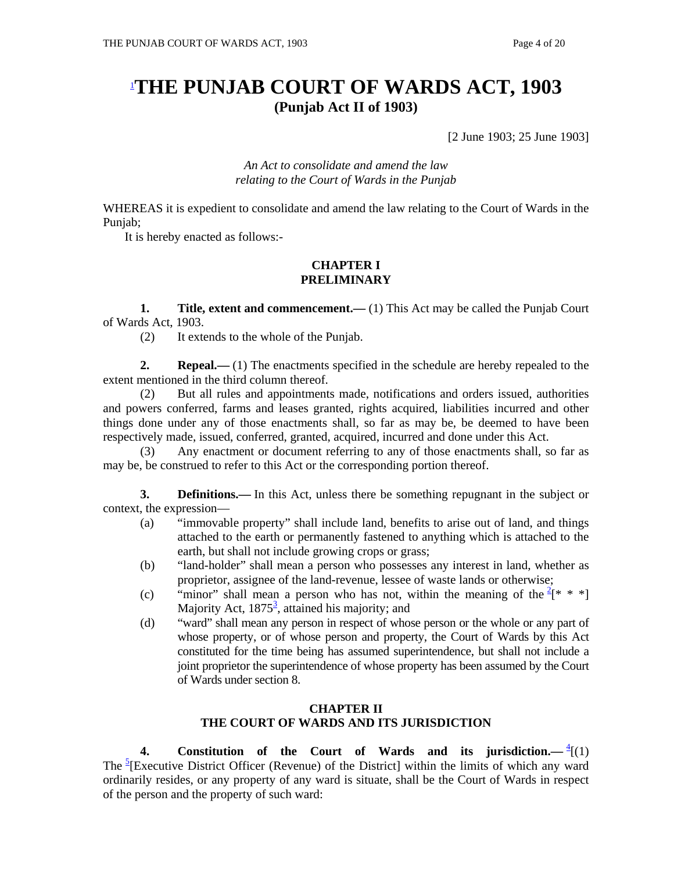## 1 **THE PUNJAB COURT OF WARDS ACT, 1903 (Punjab Act II of 1903)**

[2 June 1903; 25 June 1903]

*An Act to consolidate and amend the law relating to the Court of Wards in the Punjab*

WHEREAS it is expedient to consolidate and amend the law relating to the Court of Wards in the Punjab;

It is hereby enacted as follows:-

#### **CHAPTER I PRELIMINARY**

**1.** Title, extent and commencement.—(1) This Act may be called the Punjab Court of Wards Act, 1903.

(2) It extends to the whole of the Punjab.

**2. Repeal.**—— (1) The enactments specified in the schedule are hereby repealed to the extent mentioned in the third column thereof.

 (2) But all rules and appointments made, notifications and orders issued, authorities and powers conferred, farms and leases granted, rights acquired, liabilities incurred and other things done under any of those enactments shall, so far as may be, be deemed to have been respectively made, issued, conferred, granted, acquired, incurred and done under this Act.

 (3) Any enactment or document referring to any of those enactments shall, so far as may be, be construed to refer to this Act or the corresponding portion thereof.

**3. Definitions.**—In this Act, unless there be something repugnant in the subject or context, the expression—

- (a) "immovable property" shall include land, benefits to arise out of land, and things attached to the earth or permanently fastened to anything which is attached to the earth, but shall not include growing crops or grass;
- (b) "land-holder" shall mean a person who possesses any interest in land, whether as proprietor, assignee of the land-revenue, lessee of waste lands or otherwise;
- (c) "minor" shall mean a person who has not, within the meaning of the  $2^*$  \* \*] Majority Act,  $1875^3$ , attained his majority; and
- (d) "ward" shall mean any person in respect of whose person or the whole or any part of whose property, or of whose person and property, the Court of Wards by this Act constituted for the time being has assumed superintendence, but shall not include a joint proprietor the superintendence of whose property has been assumed by the Court of Wards under section 8.

## **CHAPTER II THE COURT OF WARDS AND ITS JURISDICTION**

**4.** Constitution of the Court of Wards and its jurisdiction.  $-\frac{4}{1}(1)$ The  $\frac{5}{2}$ [Executive District Officer (Revenue) of the District] within the limits of which any ward ordinarily resides, or any property of any ward is situate, shall be the Court of Wards in respect of the person and the property of such ward: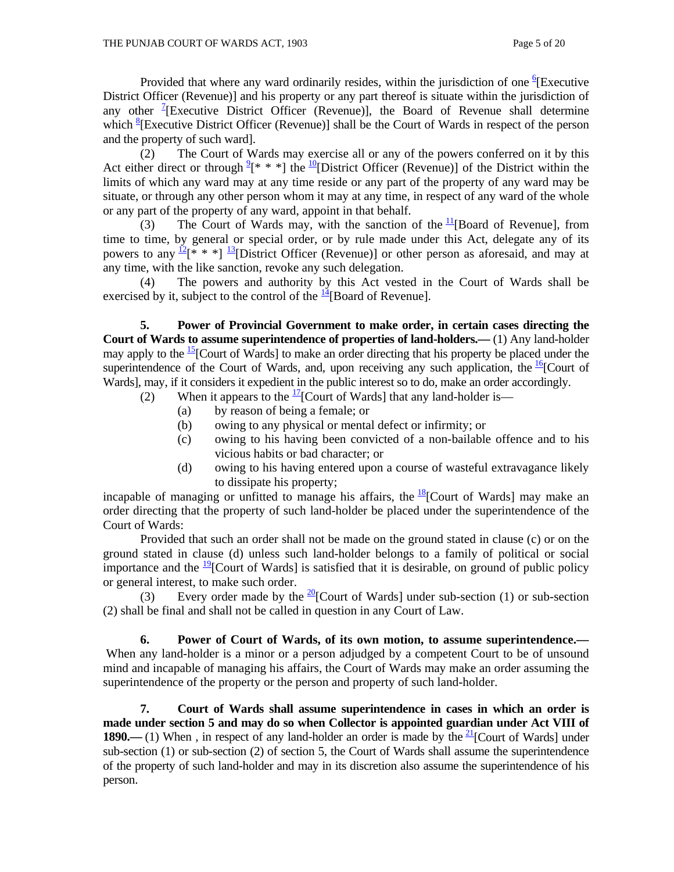Provided that where any ward ordinarily resides, within the jurisdiction of one  ${}^{6}$ [Executive District Officer (Revenue)] and his property or any part thereof is situate within the jurisdiction of any other <sup>7</sup>[Executive District Officer (Revenue)], the Board of Revenue shall determine which <sup>8</sup> [Executive District Officer (Revenue)] shall be the Court of Wards in respect of the person and the property of such ward].

 (2) The Court of Wards may exercise all or any of the powers conferred on it by this Act either direct or through  $2^*$  \* \*] the  $10^{\circ}$ [District Officer (Revenue)] of the District within the limits of which any ward may at any time reside or any part of the property of any ward may be situate, or through any other person whom it may at any time, in respect of any ward of the whole or any part of the property of any ward, appoint in that behalf.

(3) The Court of Wards may, with the sanction of the  $\frac{11}{18}$ [Board of Revenue], from time to time, by general or special order, or by rule made under this Act, delegate any of its powers to any  $\frac{12}{8}$  \* \* ]  $\frac{13}{8}$ [District Officer (Revenue)] or other person as aforesaid, and may at any time, with the like sanction, revoke any such delegation.

 (4) The powers and authority by this Act vested in the Court of Wards shall be exercised by it, subject to the control of the  $\frac{14}{16}$ [Board of Revenue].

 **5. Power of Provincial Government to make order, in certain cases directing the Court of Wards to assume superintendence of properties of land-holders.—** (1) Any land-holder may apply to the  $^{15}$ [Court of Wards] to make an order directing that his property be placed under the superintendence of the Court of Wards, and, upon receiving any such application, the  $\frac{16}{6}$ [Court of Wards], may, if it considers it expedient in the public interest so to do, make an order accordingly.

- (2) When it appears to the  $\frac{17}{2}$ [Court of Wards] that any land-holder is—
	- (a) by reason of being a female; or
	- (b) owing to any physical or mental defect or infirmity; or
	- (c) owing to his having been convicted of a non-bailable offence and to his vicious habits or bad character; or
	- (d) owing to his having entered upon a course of wasteful extravagance likely to dissipate his property;

incapable of managing or unfitted to manage his affairs, the  $^{18}$ [Court of Wards] may make an order directing that the property of such land-holder be placed under the superintendence of the Court of Wards:

 Provided that such an order shall not be made on the ground stated in clause (c) or on the ground stated in clause (d) unless such land-holder belongs to a family of political or social importance and the  $\frac{19}{2}$ [Court of Wards] is satisfied that it is desirable, on ground of public policy or general interest, to make such order.

(3) Every order made by the  $\frac{20}{20}$ [Court of Wards] under sub-section (1) or sub-section (2) shall be final and shall not be called in question in any Court of Law.

 **6. Power of Court of Wards, of its own motion, to assume superintendence.—** When any land-holder is a minor or a person adjudged by a competent Court to be of unsound mind and incapable of managing his affairs, the Court of Wards may make an order assuming the superintendence of the property or the person and property of such land-holder.

**7. Court of Wards shall assume superintendence in cases in which an order is made under section 5 and may do so when Collector is appointed guardian under Act VIII of 1890.**—(1) When, in respect of any land-holder an order is made by the  $\frac{21}{2}$ [Court of Wards] under sub-section (1) or sub-section (2) of section 5, the Court of Wards shall assume the superintendence of the property of such land-holder and may in its discretion also assume the superintendence of his person.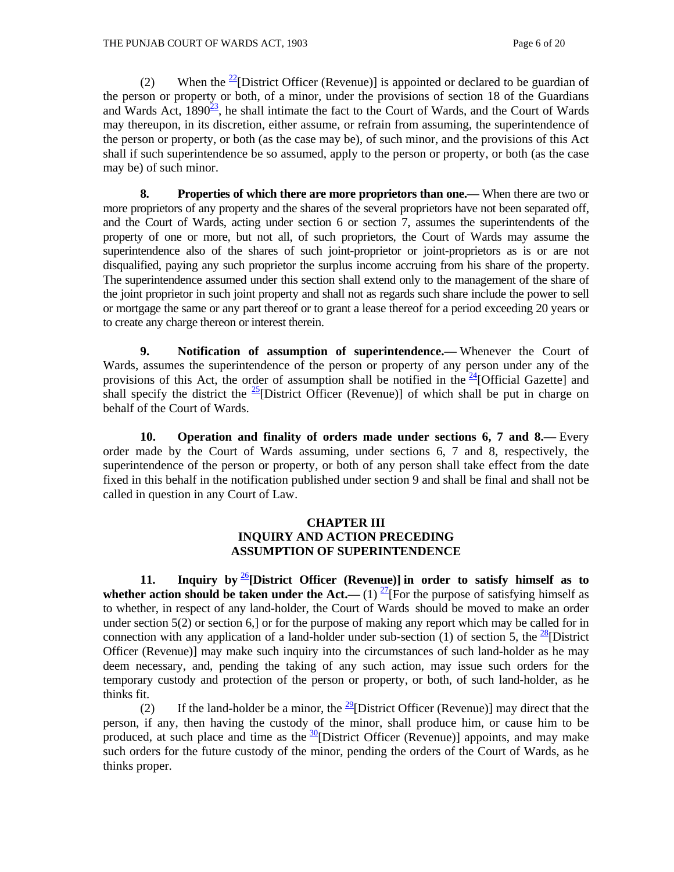(2) When the  $\frac{22}{2}$ [District Officer (Revenue)] is appointed or declared to be guardian of the person or property or both, of a minor, under the provisions of section 18 of the Guardians and Wards Act,  $1890^{23}$ , he shall intimate the fact to the Court of Wards, and the Court of Wards may thereupon, in its discretion, either assume, or refrain from assuming, the superintendence of the person or property, or both (as the case may be), of such minor, and the provisions of this Act shall if such superintendence be so assumed, apply to the person or property, or both (as the case may be) of such minor.

**8. Properties of which there are more proprietors than one.—** When there are two or more proprietors of any property and the shares of the several proprietors have not been separated off, and the Court of Wards, acting under section 6 or section 7, assumes the superintendents of the property of one or more, but not all, of such proprietors, the Court of Wards may assume the superintendence also of the shares of such joint-proprietor or joint-proprietors as is or are not disqualified, paying any such proprietor the surplus income accruing from his share of the property. The superintendence assumed under this section shall extend only to the management of the share of the joint proprietor in such joint property and shall not as regards such share include the power to sell or mortgage the same or any part thereof or to grant a lease thereof for a period exceeding 20 years or to create any charge thereon or interest therein.

 **9. Notification of assumption of superintendence.—** Whenever the Court of Wards, assumes the superintendence of the person or property of any person under any of the provisions of this Act, the order of assumption shall be notified in the  $^{24}$ [Official Gazette] and shall specify the district the  $\frac{25}{2}$ [District Officer (Revenue)] of which shall be put in charge on behalf of the Court of Wards.

 **10. Operation and finality of orders made under sections 6, 7 and 8.—** Every order made by the Court of Wards assuming, under sections 6, 7 and 8, respectively, the superintendence of the person or property, or both of any person shall take effect from the date fixed in this behalf in the notification published under section 9 and shall be final and shall not be called in question in any Court of Law.

#### **CHAPTER III INQUIRY AND ACTION PRECEDING ASSUMPTION OF SUPERINTENDENCE**

 **11. Inquiry by** <sup>26</sup>**[District Officer (Revenue)] in order to satisfy himself as to whether action should be taken under the Act.—** (1)  $\frac{27}{1}$  For the purpose of satisfying himself as to whether, in respect of any land-holder, the Court of Wards should be moved to make an order under section 5(2) or section 6,] or for the purpose of making any report which may be called for in connection with any application of a land-holder under sub-section (1) of section 5, the <sup>28</sup>[District] Officer (Revenue)] may make such inquiry into the circumstances of such land-holder as he may deem necessary, and, pending the taking of any such action, may issue such orders for the temporary custody and protection of the person or property, or both, of such land-holder, as he thinks fit.

(2) If the land-holder be a minor, the  $\frac{29}{9}$ [District Officer (Revenue)] may direct that the person, if any, then having the custody of the minor, shall produce him, or cause him to be produced, at such place and time as the  $\frac{30}{2}$ [District Officer (Revenue)] appoints, and may make such orders for the future custody of the minor, pending the orders of the Court of Wards, as he thinks proper.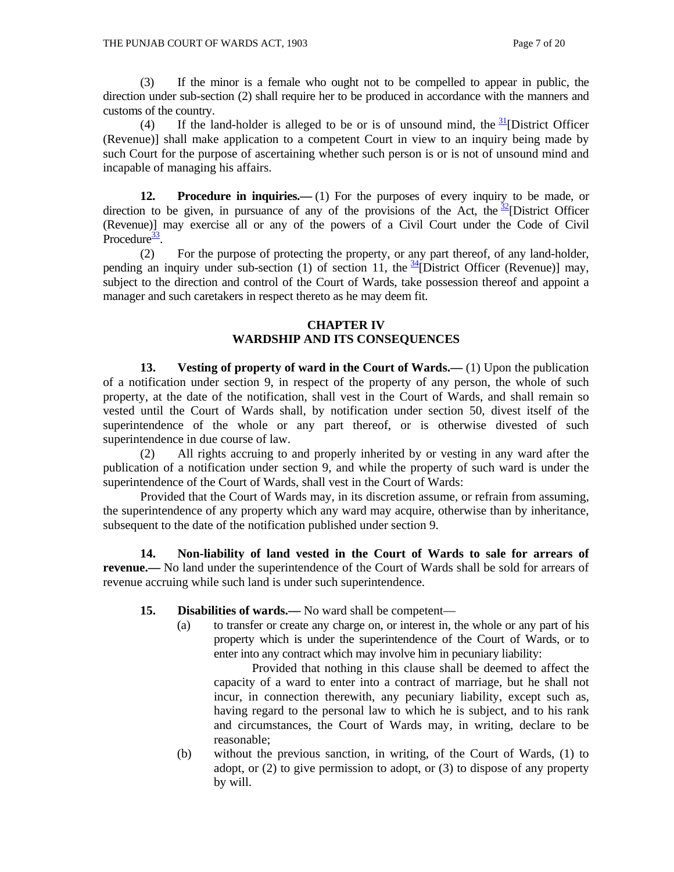(3) If the minor is a female who ought not to be compelled to appear in public, the direction under sub-section (2) shall require her to be produced in accordance with the manners and customs of the country.

(4) If the land-holder is alleged to be or is of unsound mind, the  $\frac{31}{2}$ [District Officer (Revenue)] shall make application to a competent Court in view to an inquiry being made by such Court for the purpose of ascertaining whether such person is or is not of unsound mind and incapable of managing his affairs.

**12. Procedure in inquiries.—** (1) For the purposes of every inquiry to be made, or direction to be given, in pursuance of any of the provisions of the Act, the  $\frac{32}{2}$ [District Officer (Revenue)] may exercise all or any of the powers of a Civil Court under the Code of Civil Procedure $\frac{33}{2}$ .

 (2) For the purpose of protecting the property, or any part thereof, of any land-holder, pending an inquiry under sub-section (1) of section 11, the  $\frac{34}{1}$ [District Officer (Revenue)] may, subject to the direction and control of the Court of Wards, take possession thereof and appoint a manager and such caretakers in respect thereto as he may deem fit.

#### **CHAPTER IV WARDSHIP AND ITS CONSEQUENCES**

**13.** Vesting of property of ward in the Court of Wards.—(1) Upon the publication of a notification under section 9, in respect of the property of any person, the whole of such property, at the date of the notification, shall vest in the Court of Wards, and shall remain so vested until the Court of Wards shall, by notification under section 50, divest itself of the superintendence of the whole or any part thereof, or is otherwise divested of such superintendence in due course of law.

 (2) All rights accruing to and properly inherited by or vesting in any ward after the publication of a notification under section 9, and while the property of such ward is under the superintendence of the Court of Wards, shall vest in the Court of Wards:

 Provided that the Court of Wards may, in its discretion assume, or refrain from assuming, the superintendence of any property which any ward may acquire, otherwise than by inheritance, subsequent to the date of the notification published under section 9.

 **14. Non-liability of land vested in the Court of Wards to sale for arrears of revenue.—** No land under the superintendence of the Court of Wards shall be sold for arrears of revenue accruing while such land is under such superintendence.

- **15.** Disabilities of wards.— No ward shall be competent—
	- (a) to transfer or create any charge on, or interest in, the whole or any part of his property which is under the superintendence of the Court of Wards, or to enter into any contract which may involve him in pecuniary liability:

 Provided that nothing in this clause shall be deemed to affect the capacity of a ward to enter into a contract of marriage, but he shall not incur, in connection therewith, any pecuniary liability, except such as, having regard to the personal law to which he is subject, and to his rank and circumstances, the Court of Wards may, in writing, declare to be reasonable;

(b) without the previous sanction, in writing, of the Court of Wards, (1) to adopt, or (2) to give permission to adopt, or (3) to dispose of any property by will.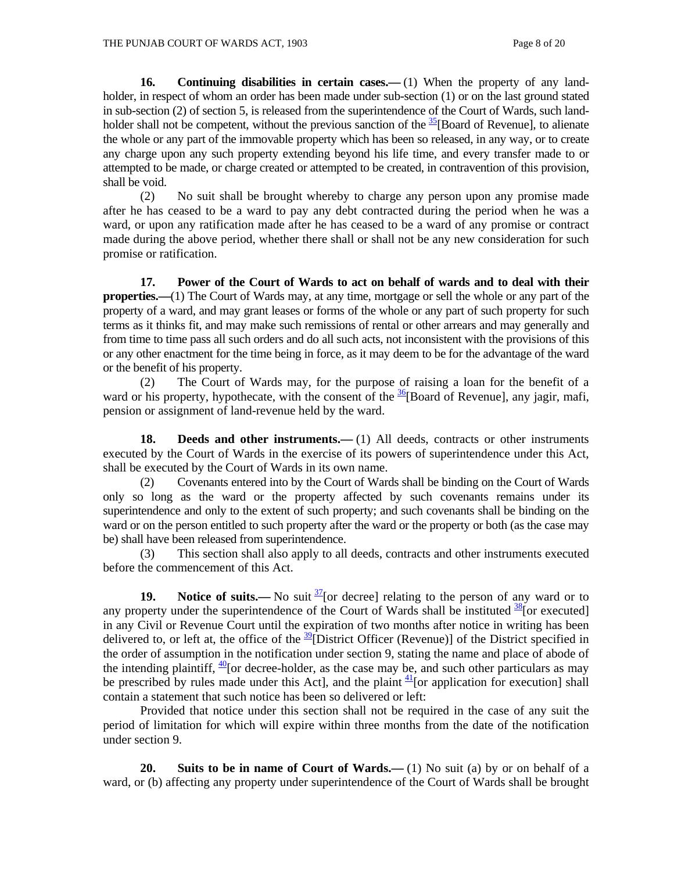**16.** Continuing disabilities in certain cases.—(1) When the property of any landholder, in respect of whom an order has been made under sub-section (1) or on the last ground stated in sub-section (2) of section 5, is released from the superintendence of the Court of Wards, such landholder shall not be competent, without the previous sanction of the  $\frac{35}{5}$ [Board of Revenue], to alienate the whole or any part of the immovable property which has been so released, in any way, or to create any charge upon any such property extending beyond his life time, and every transfer made to or attempted to be made, or charge created or attempted to be created, in contravention of this provision, shall be void.

 (2) No suit shall be brought whereby to charge any person upon any promise made after he has ceased to be a ward to pay any debt contracted during the period when he was a ward, or upon any ratification made after he has ceased to be a ward of any promise or contract made during the above period, whether there shall or shall not be any new consideration for such promise or ratification.

 **17. Power of the Court of Wards to act on behalf of wards and to deal with their properties.—**(1) The Court of Wards may, at any time, mortgage or sell the whole or any part of the property of a ward, and may grant leases or forms of the whole or any part of such property for such terms as it thinks fit, and may make such remissions of rental or other arrears and may generally and from time to time pass all such orders and do all such acts, not inconsistent with the provisions of this or any other enactment for the time being in force, as it may deem to be for the advantage of the ward or the benefit of his property.

 (2) The Court of Wards may, for the purpose of raising a loan for the benefit of a ward or his property, hypothecate, with the consent of the  $\frac{36}{18}$ [Board of Revenue], any jagir, mafi, pension or assignment of land-revenue held by the ward.

**18.** Deeds and other instruments.—(1) All deeds, contracts or other instruments executed by the Court of Wards in the exercise of its powers of superintendence under this Act, shall be executed by the Court of Wards in its own name.

 (2) Covenants entered into by the Court of Wards shall be binding on the Court of Wards only so long as the ward or the property affected by such covenants remains under its superintendence and only to the extent of such property; and such covenants shall be binding on the ward or on the person entitled to such property after the ward or the property or both (as the case may be) shall have been released from superintendence.

 (3) This section shall also apply to all deeds, contracts and other instruments executed before the commencement of this Act.

**19.** Notice of suits.— No suit  $\frac{37}{2}$  [or decree] relating to the person of any ward or to any property under the superintendence of the Court of Wards shall be instituted  $\frac{38}{8}$ [or executed] in any Civil or Revenue Court until the expiration of two months after notice in writing has been delivered to, or left at, the office of the  $\frac{39}{2}$ [District Officer (Revenue)] of the District specified in the order of assumption in the notification under section 9, stating the name and place of abode of the intending plaintiff,  $\frac{40}{2}$  or decree-holder, as the case may be, and such other particulars as may be prescribed by rules made under this Act], and the plaint  $\frac{41}{1}$  or application for execution] shall contain a statement that such notice has been so delivered or left:

 Provided that notice under this section shall not be required in the case of any suit the period of limitation for which will expire within three months from the date of the notification under section 9.

**20.** Suits to be in name of Court of Wards.—(1) No suit (a) by or on behalf of a ward, or (b) affecting any property under superintendence of the Court of Wards shall be brought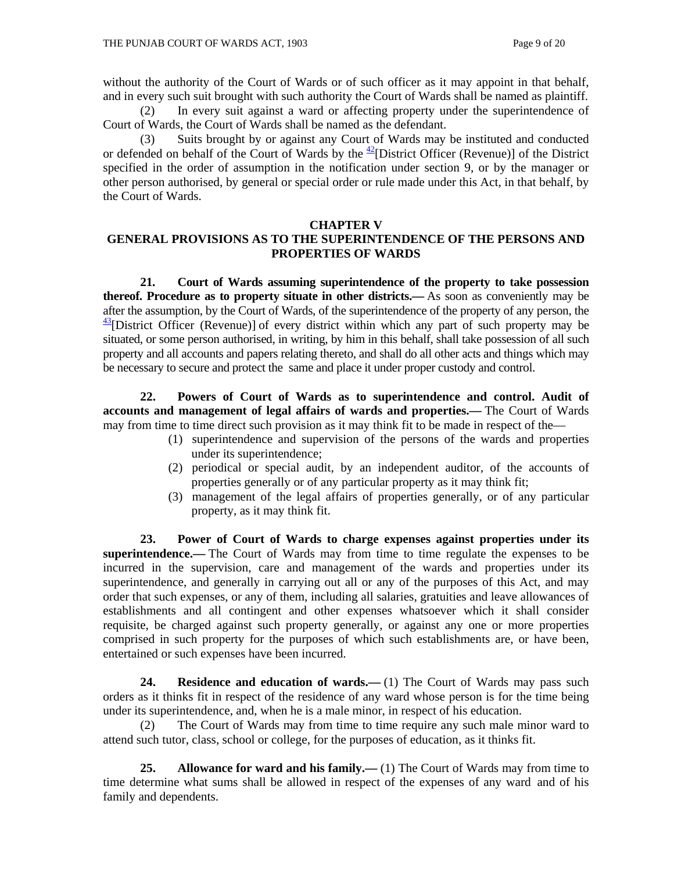without the authority of the Court of Wards or of such officer as it may appoint in that behalf, and in every such suit brought with such authority the Court of Wards shall be named as plaintiff.

 (2) In every suit against a ward or affecting property under the superintendence of Court of Wards, the Court of Wards shall be named as the defendant.

 (3) Suits brought by or against any Court of Wards may be instituted and conducted or defended on behalf of the Court of Wards by the  $\frac{42}{2}$ [District Officer (Revenue)] of the District specified in the order of assumption in the notification under section 9, or by the manager or other person authorised, by general or special order or rule made under this Act, in that behalf, by the Court of Wards.

#### **CHAPTER V**

## **GENERAL PROVISIONS AS TO THE SUPERINTENDENCE OF THE PERSONS AND PROPERTIES OF WARDS**

 **21. Court of Wards assuming superintendence of the property to take possession thereof. Procedure as to property situate in other districts.—** As soon as conveniently may be after the assumption, by the Court of Wards, of the superintendence of the property of any person, the  $\frac{43}{2}$ [District Officer (Revenue)] of every district within which any part of such property may be situated, or some person authorised, in writing, by him in this behalf, shall take possession of all such property and all accounts and papers relating thereto, and shall do all other acts and things which may be necessary to secure and protect the same and place it under proper custody and control.

 **22. Powers of Court of Wards as to superintendence and control. Audit of accounts and management of legal affairs of wards and properties.—** The Court of Wards may from time to time direct such provision as it may think fit to be made in respect of the—

- (1) superintendence and supervision of the persons of the wards and properties under its superintendence;
- (2) periodical or special audit, by an independent auditor, of the accounts of properties generally or of any particular property as it may think fit;
- (3) management of the legal affairs of properties generally, or of any particular property, as it may think fit.

 **23. Power of Court of Wards to charge expenses against properties under its superintendence.—** The Court of Wards may from time to time regulate the expenses to be incurred in the supervision, care and management of the wards and properties under its superintendence, and generally in carrying out all or any of the purposes of this Act, and may order that such expenses, or any of them, including all salaries, gratuities and leave allowances of establishments and all contingent and other expenses whatsoever which it shall consider requisite, be charged against such property generally, or against any one or more properties comprised in such property for the purposes of which such establishments are, or have been, entertained or such expenses have been incurred.

**24. Residence and education of wards.—(1)** The Court of Wards may pass such orders as it thinks fit in respect of the residence of any ward whose person is for the time being under its superintendence, and, when he is a male minor, in respect of his education.

 (2) The Court of Wards may from time to time require any such male minor ward to attend such tutor, class, school or college, for the purposes of education, as it thinks fit.

 **25. Allowance for ward and his family.—** (1) The Court of Wards may from time to time determine what sums shall be allowed in respect of the expenses of any ward and of his family and dependents.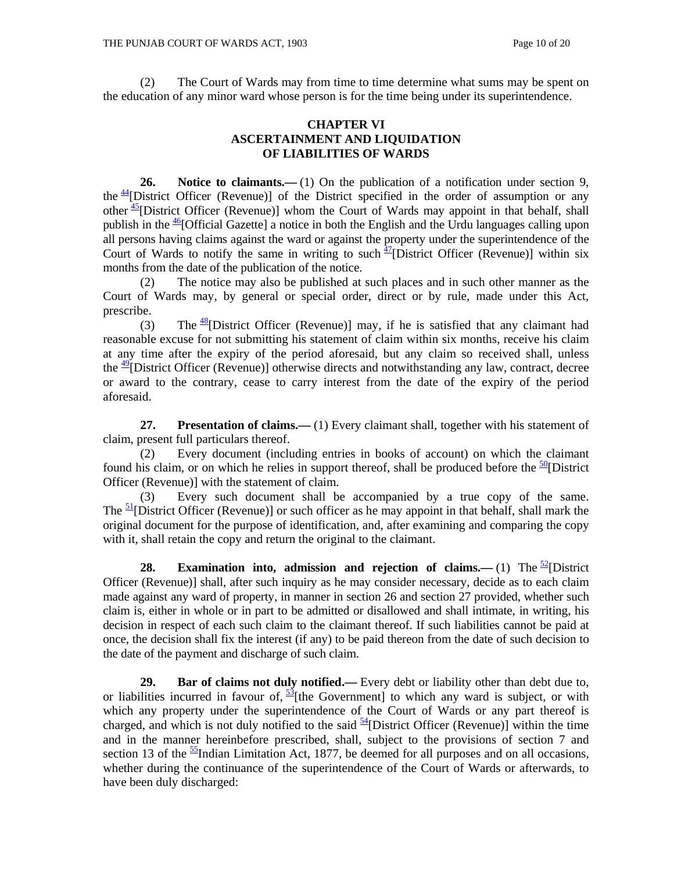(2) The Court of Wards may from time to time determine what sums may be spent on the education of any minor ward whose person is for the time being under its superintendence.

## **CHAPTER VI ASCERTAINMENT AND LIQUIDATION OF LIABILITIES OF WARDS**

26. Notice to claimants.—(1) On the publication of a notification under section 9, the  $\frac{44}{1}$ District Officer (Revenue)] of the District specified in the order of assumption or any other  $\frac{45}{2}$ [District Officer (Revenue)] whom the Court of Wards may appoint in that behalf, shall publish in the  $\frac{46}{6}$ [Official Gazette] a notice in both the English and the Urdu languages calling upon all persons having claims against the ward or against the property under the superintendence of the Court of Wards to notify the same in writing to such  $\frac{47}{12}$  [District Officer (Revenue)] within six months from the date of the publication of the notice.

 (2) The notice may also be published at such places and in such other manner as the Court of Wards may, by general or special order, direct or by rule, made under this Act, prescribe.

(3) The  $\frac{48}{3}$ [District Officer (Revenue)] may, if he is satisfied that any claimant had reasonable excuse for not submitting his statement of claim within six months, receive his claim at any time after the expiry of the period aforesaid, but any claim so received shall, unless the  $\frac{49}{2}$ [District Officer (Revenue)] otherwise directs and notwithstanding any law, contract, decree or award to the contrary, cease to carry interest from the date of the expiry of the period aforesaid.

**27.** Presentation of claims.—(1) Every claimant shall, together with his statement of claim, present full particulars thereof.

 (2) Every document (including entries in books of account) on which the claimant found his claim, or on which he relies in support thereof, shall be produced before the  $\frac{50}{10}$ [District] Officer (Revenue)] with the statement of claim.

 (3) Every such document shall be accompanied by a true copy of the same. The  $\frac{51}{2}$ [District Officer (Revenue)] or such officer as he may appoint in that behalf, shall mark the original document for the purpose of identification, and, after examining and comparing the copy with it, shall retain the copy and return the original to the claimant.

**28. Examination into, admission and rejection of claims.—** $(1)$  **The <sup>52</sup>[District]** Officer (Revenue)] shall, after such inquiry as he may consider necessary, decide as to each claim made against any ward of property, in manner in section 26 and section 27 provided, whether such claim is, either in whole or in part to be admitted or disallowed and shall intimate, in writing, his decision in respect of each such claim to the claimant thereof. If such liabilities cannot be paid at once, the decision shall fix the interest (if any) to be paid thereon from the date of such decision to the date of the payment and discharge of such claim.

 **29. Bar of claims not duly notified.—** Every debt or liability other than debt due to, or liabilities incurred in favour of,  $\frac{53}{1}$  (the Government) to which any ward is subject, or with which any property under the superintendence of the Court of Wards or any part thereof is charged, and which is not duly notified to the said  $\frac{54}{12}$ [District Officer (Revenue)] within the time and in the manner hereinbefore prescribed, shall, subject to the provisions of section 7 and section 13 of the  $\frac{55}{2}$ Indian Limitation Act, 1877, be deemed for all purposes and on all occasions, whether during the continuance of the superintendence of the Court of Wards or afterwards, to have been duly discharged: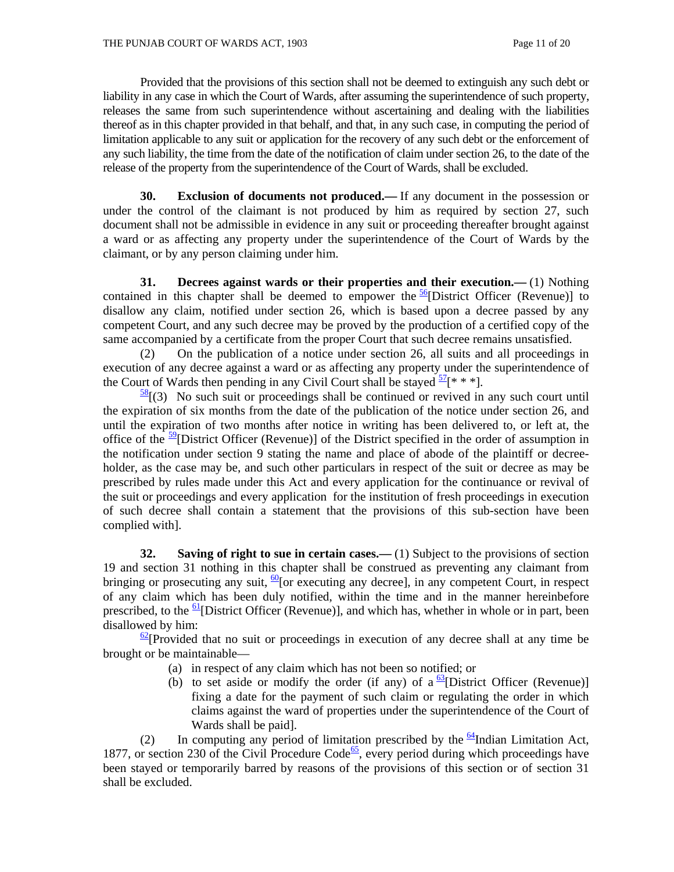Provided that the provisions of this section shall not be deemed to extinguish any such debt or liability in any case in which the Court of Wards, after assuming the superintendence of such property, releases the same from such superintendence without ascertaining and dealing with the liabilities thereof as in this chapter provided in that behalf, and that, in any such case, in computing the period of limitation applicable to any suit or application for the recovery of any such debt or the enforcement of any such liability, the time from the date of the notification of claim under section 26, to the date of the release of the property from the superintendence of the Court of Wards, shall be excluded.

 **30. Exclusion of documents not produced.—** If any document in the possession or under the control of the claimant is not produced by him as required by section 27, such document shall not be admissible in evidence in any suit or proceeding thereafter brought against a ward or as affecting any property under the superintendence of the Court of Wards by the claimant, or by any person claiming under him.

 **31. Decrees against wards or their properties and their execution.—** (1) Nothing contained in this chapter shall be deemed to empower the  $\frac{56}{12}$ [District Officer (Revenue)] to disallow any claim, notified under section 26, which is based upon a decree passed by any competent Court, and any such decree may be proved by the production of a certified copy of the same accompanied by a certificate from the proper Court that such decree remains unsatisfied.

 (2) On the publication of a notice under section 26, all suits and all proceedings in execution of any decree against a ward or as affecting any property under the superintendence of the Court of Wards then pending in any Civil Court shall be stayed  $\frac{57}{8}$  \* \* \*].

 $\frac{58}{36}$  (3) No such suit or proceedings shall be continued or revived in any such court until the expiration of six months from the date of the publication of the notice under section 26, and until the expiration of two months after notice in writing has been delivered to, or left at, the office of the  $\frac{59}{2}$ [District Officer (Revenue)] of the District specified in the order of assumption in the notification under section 9 stating the name and place of abode of the plaintiff or decreeholder, as the case may be, and such other particulars in respect of the suit or decree as may be prescribed by rules made under this Act and every application for the continuance or revival of the suit or proceedings and every application for the institution of fresh proceedings in execution of such decree shall contain a statement that the provisions of this sub-section have been complied with].

**32.** Saving of right to sue in certain cases.—(1) Subject to the provisions of section 19 and section 31 nothing in this chapter shall be construed as preventing any claimant from bringing or prosecuting any suit,  $\frac{60}{6}$  [or executing any decree], in any competent Court, in respect of any claim which has been duly notified, within the time and in the manner hereinbefore prescribed, to the  $61$ [District Officer (Revenue)], and which has, whether in whole or in part, been disallowed by him:

 $\frac{62}{2}$ [Provided that no suit or proceedings in execution of any decree shall at any time be brought or be maintainable—

- (a) in respect of any claim which has not been so notified; or
- (b) to set aside or modify the order (if any) of a  $\frac{63}{2}$ [District Officer (Revenue)] fixing a date for the payment of such claim or regulating the order in which claims against the ward of properties under the superintendence of the Court of Wards shall be paid].

(2) In computing any period of limitation prescribed by the  $\frac{64}{10}$ Indian Limitation Act, 1877, or section 230 of the Civil Procedure Code<sup>65</sup>, every period during which proceedings have been stayed or temporarily barred by reasons of the provisions of this section or of section 31 shall be excluded.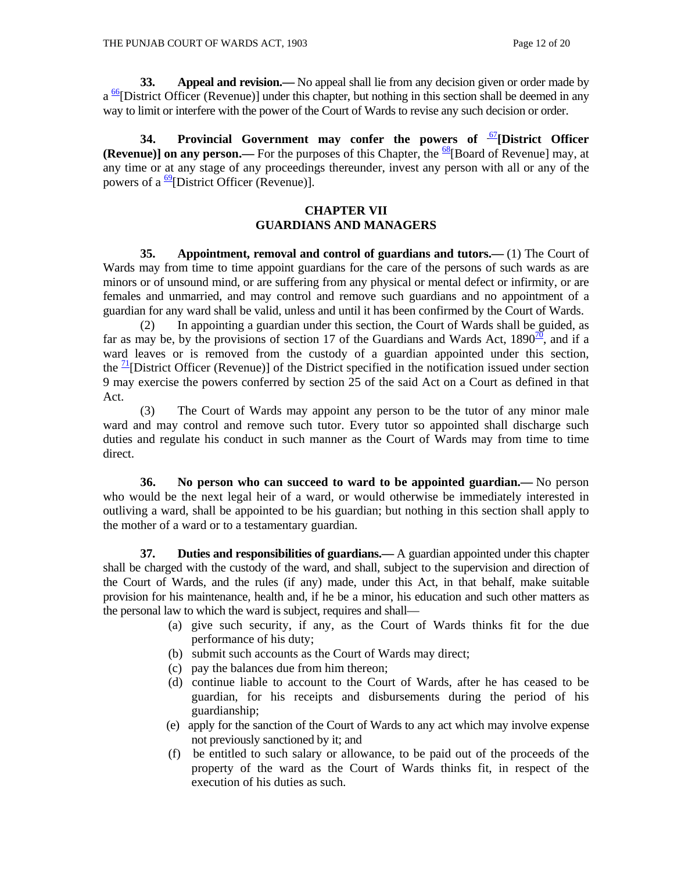**33.** Appeal and revision.— No appeal shall lie from any decision given or order made by  $a \frac{66}{1}$ District Officer (Revenue)] under this chapter, but nothing in this section shall be deemed in any way to limit or interfere with the power of the Court of Wards to revise any such decision or order.

 **34. Provincial Government may confer the powers of** <sup>67</sup>**[District Officer (Revenue)] on any person.—** For the purposes of this Chapter, the  $\frac{68}{8}$ [Board of Revenue] may, at any time or at any stage of any proceedings thereunder, invest any person with all or any of the powers of a  $\frac{69}{9}$ [District Officer (Revenue)].

#### **CHAPTER VII GUARDIANS AND MANAGERS**

 **35. Appointment, removal and control of guardians and tutors.—** (1) The Court of Wards may from time to time appoint guardians for the care of the persons of such wards as are minors or of unsound mind, or are suffering from any physical or mental defect or infirmity, or are females and unmarried, and may control and remove such guardians and no appointment of a guardian for any ward shall be valid, unless and until it has been confirmed by the Court of Wards.

 (2) In appointing a guardian under this section, the Court of Wards shall be guided, as far as may be, by the provisions of section 17 of the Guardians and Wards Act,  $1890^{20}$ , and if a ward leaves or is removed from the custody of a guardian appointed under this section, the  $\frac{1}{1}$ [District Officer (Revenue)] of the District specified in the notification issued under section 9 may exercise the powers conferred by section 25 of the said Act on a Court as defined in that Act.

 (3) The Court of Wards may appoint any person to be the tutor of any minor male ward and may control and remove such tutor. Every tutor so appointed shall discharge such duties and regulate his conduct in such manner as the Court of Wards may from time to time direct.

 **36. No person who can succeed to ward to be appointed guardian.—** No person who would be the next legal heir of a ward, or would otherwise be immediately interested in outliving a ward, shall be appointed to be his guardian; but nothing in this section shall apply to the mother of a ward or to a testamentary guardian.

**37.** Duties and responsibilities of guardians.— A guardian appointed under this chapter shall be charged with the custody of the ward, and shall, subject to the supervision and direction of the Court of Wards, and the rules (if any) made, under this Act, in that behalf, make suitable provision for his maintenance, health and, if he be a minor, his education and such other matters as the personal law to which the ward is subject, requires and shall—

- (a) give such security, if any, as the Court of Wards thinks fit for the due performance of his duty;
- (b) submit such accounts as the Court of Wards may direct;
- (c) pay the balances due from him thereon;
- (d) continue liable to account to the Court of Wards, after he has ceased to be guardian, for his receipts and disbursements during the period of his guardianship;
- (e) apply for the sanction of the Court of Wards to any act which may involve expense not previously sanctioned by it; and
- (f) be entitled to such salary or allowance, to be paid out of the proceeds of the property of the ward as the Court of Wards thinks fit, in respect of the execution of his duties as such.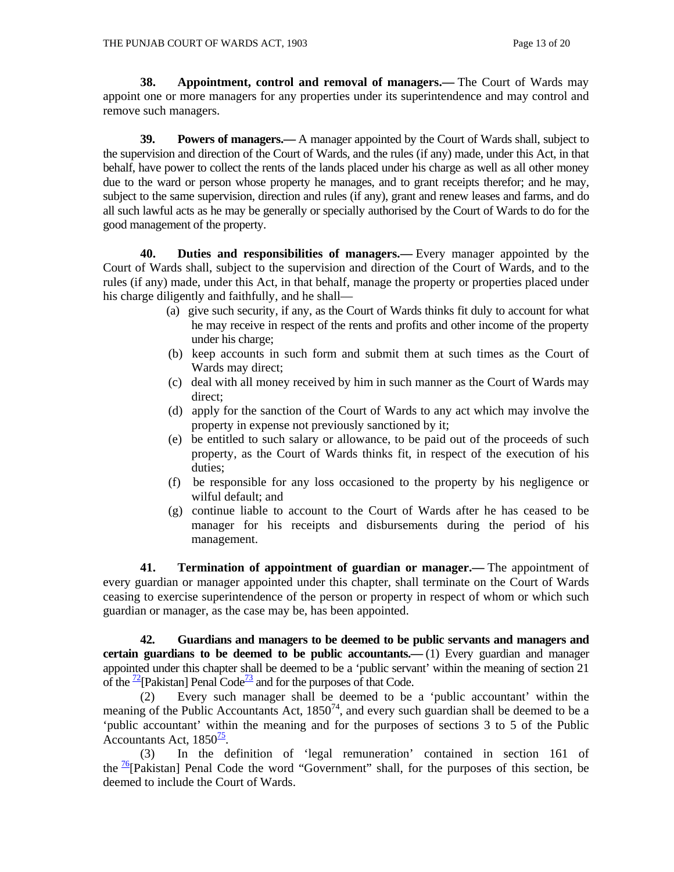**38. Appointment, control and removal of managers.—** The Court of Wards may appoint one or more managers for any properties under its superintendence and may control and remove such managers.

 **39. Powers of managers.—** A manager appointed by the Court of Wards shall, subject to the supervision and direction of the Court of Wards, and the rules (if any) made, under this Act, in that behalf, have power to collect the rents of the lands placed under his charge as well as all other money due to the ward or person whose property he manages, and to grant receipts therefor; and he may, subject to the same supervision, direction and rules (if any), grant and renew leases and farms, and do all such lawful acts as he may be generally or specially authorised by the Court of Wards to do for the good management of the property.

 **40. Duties and responsibilities of managers.—** Every manager appointed by the Court of Wards shall, subject to the supervision and direction of the Court of Wards, and to the rules (if any) made, under this Act, in that behalf, manage the property or properties placed under his charge diligently and faithfully, and he shall—

- (a) give such security, if any, as the Court of Wards thinks fit duly to account for what he may receive in respect of the rents and profits and other income of the property under his charge;
- (b) keep accounts in such form and submit them at such times as the Court of Wards may direct;
- (c) deal with all money received by him in such manner as the Court of Wards may direct;
- (d) apply for the sanction of the Court of Wards to any act which may involve the property in expense not previously sanctioned by it;
- (e) be entitled to such salary or allowance, to be paid out of the proceeds of such property, as the Court of Wards thinks fit, in respect of the execution of his duties;
- (f) be responsible for any loss occasioned to the property by his negligence or wilful default; and
- (g) continue liable to account to the Court of Wards after he has ceased to be manager for his receipts and disbursements during the period of his management.

 **41. Termination of appointment of guardian or manager.—** The appointment of every guardian or manager appointed under this chapter, shall terminate on the Court of Wards ceasing to exercise superintendence of the person or property in respect of whom or which such guardian or manager, as the case may be, has been appointed.

 **42. Guardians and managers to be deemed to be public servants and managers and certain guardians to be deemed to be public accountants.—** (1) Every guardian and manager appointed under this chapter shall be deemed to be a 'public servant' within the meaning of section 21 of the  $\frac{72}{2}$ [Pakistan] Penal Code<sup>73</sup> and for the purposes of that Code.

 (2) Every such manager shall be deemed to be a 'public accountant' within the meaning of the Public Accountants Act,  $1850^{74}$ , and every such guardian shall be deemed to be a 'public accountant' within the meaning and for the purposes of sections 3 to 5 of the Public Accountants Act,  $1850^{\frac{75}{6}}$ .

 (3) In the definition of 'legal remuneration' contained in section 161 of the  $\frac{16}{2}$ [Pakistan] Penal Code the word "Government" shall, for the purposes of this section, be deemed to include the Court of Wards.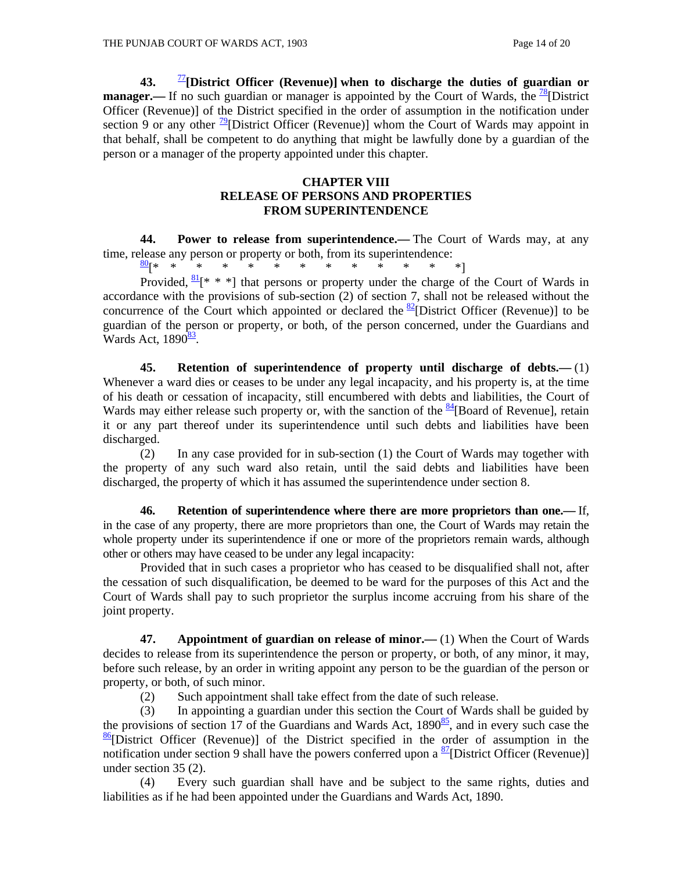**43.** <sup>77</sup>**[District Officer (Revenue)] when to discharge the duties of guardian or manager.**—If no such guardian or manager is appointed by the Court of Wards, the <sup>78</sup>[District] Officer (Revenue)] of the District specified in the order of assumption in the notification under section 9 or any other  $\frac{79}{2}$ [District Officer (Revenue)] whom the Court of Wards may appoint in that behalf, shall be competent to do anything that might be lawfully done by a guardian of the person or a manager of the property appointed under this chapter.

## **CHAPTER VIII RELEASE OF PERSONS AND PROPERTIES FROM SUPERINTENDENCE**

 **44. Power to release from superintendence.—** The Court of Wards may, at any time, release any person or property or both, from its superintendence:

80[\* \* \* \* \* \* \* \* \* \* \* \* \*]

Provided,  $\frac{81}{8}$  \* \* | that persons or property under the charge of the Court of Wards in accordance with the provisions of sub-section (2) of section 7, shall not be released without the concurrence of the Court which appointed or declared the  $\frac{82}{2}$ [District Officer (Revenue)] to be guardian of the person or property, or both, of the person concerned, under the Guardians and Wards Act,  $1890<sup>83</sup>$ .

 **45. Retention of superintendence of property until discharge of debts.—** (1) Whenever a ward dies or ceases to be under any legal incapacity, and his property is, at the time of his death or cessation of incapacity, still encumbered with debts and liabilities, the Court of Wards may either release such property or, with the sanction of the  $\frac{84}{4}$ [Board of Revenue], retain it or any part thereof under its superintendence until such debts and liabilities have been discharged.

 (2) In any case provided for in sub-section (1) the Court of Wards may together with the property of any such ward also retain, until the said debts and liabilities have been discharged, the property of which it has assumed the superintendence under section 8.

 **46. Retention of superintendence where there are more proprietors than one.—** If, in the case of any property, there are more proprietors than one, the Court of Wards may retain the whole property under its superintendence if one or more of the proprietors remain wards, although other or others may have ceased to be under any legal incapacity:

 Provided that in such cases a proprietor who has ceased to be disqualified shall not, after the cessation of such disqualification, be deemed to be ward for the purposes of this Act and the Court of Wards shall pay to such proprietor the surplus income accruing from his share of the joint property.

**47.** Appointment of guardian on release of minor.—(1) When the Court of Wards decides to release from its superintendence the person or property, or both, of any minor, it may, before such release, by an order in writing appoint any person to be the guardian of the person or property, or both, of such minor.

(2) Such appointment shall take effect from the date of such release.

 (3) In appointing a guardian under this section the Court of Wards shall be guided by the provisions of section 17 of the Guardians and Wards Act,  $1890<sup>85</sup>$ , and in every such case the  $\frac{86}{6}$ [District Officer (Revenue)] of the District specified in the order of assumption in the notification under section 9 shall have the powers conferred upon a  $\frac{87}{2}$ [District Officer (Revenue)] under section 35 (2).

 (4) Every such guardian shall have and be subject to the same rights, duties and liabilities as if he had been appointed under the Guardians and Wards Act, 1890.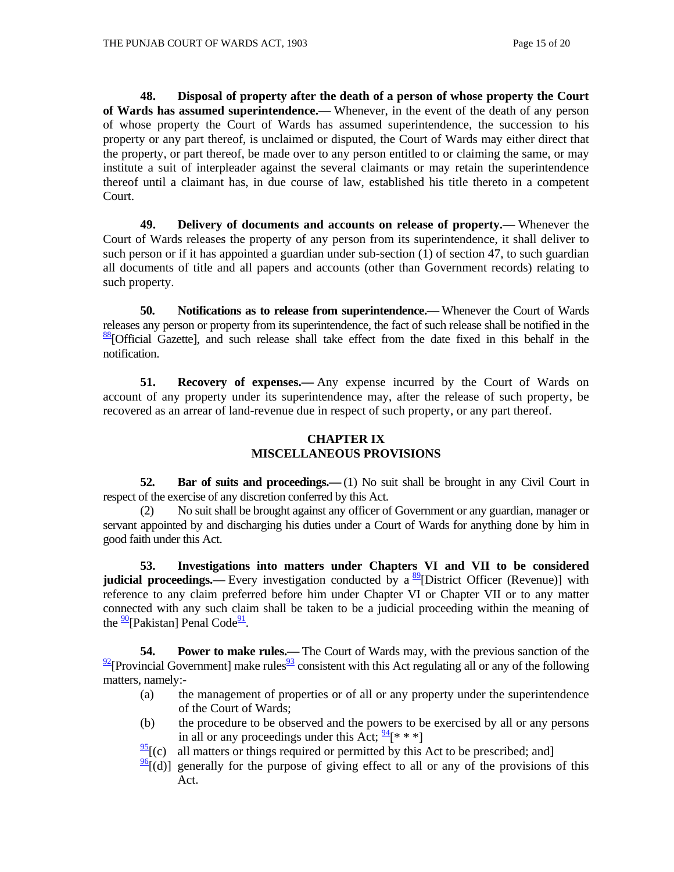**48. Disposal of property after the death of a person of whose property the Court of Wards has assumed superintendence.—** Whenever, in the event of the death of any person of whose property the Court of Wards has assumed superintendence, the succession to his property or any part thereof, is unclaimed or disputed, the Court of Wards may either direct that the property, or part thereof, be made over to any person entitled to or claiming the same, or may institute a suit of interpleader against the several claimants or may retain the superintendence thereof until a claimant has, in due course of law, established his title thereto in a competent Court.

 **49. Delivery of documents and accounts on release of property.—** Whenever the Court of Wards releases the property of any person from its superintendence, it shall deliver to such person or if it has appointed a guardian under sub-section (1) of section 47, to such guardian all documents of title and all papers and accounts (other than Government records) relating to such property.

 **50. Notifications as to release from superintendence.—** Whenever the Court of Wards releases any person or property from its superintendence, the fact of such release shall be notified in the  $\frac{88}{8}$ [Official Gazette], and such release shall take effect from the date fixed in this behalf in the notification.

 **51. Recovery of expenses.—** Any expense incurred by the Court of Wards on account of any property under its superintendence may, after the release of such property, be recovered as an arrear of land-revenue due in respect of such property, or any part thereof.

## **CHAPTER IX MISCELLANEOUS PROVISIONS**

**52. Bar of suits and proceedings.**—(1) No suit shall be brought in any Civil Court in respect of the exercise of any discretion conferred by this Act.

 (2) No suit shall be brought against any officer of Government or any guardian, manager or servant appointed by and discharging his duties under a Court of Wards for anything done by him in good faith under this Act.

**53. Investigations into matters under Chapters VI and VII to be considered judicial proceedings.—** Every investigation conducted by a <sup>89</sup>[District Officer (Revenue)] with reference to any claim preferred before him under Chapter VI or Chapter VII or to any matter connected with any such claim shall be taken to be a judicial proceeding within the meaning of the  $\frac{90}{9}$ [Pakistan] Penal Code<sup>91</sup>.

**54.** Power to make rules.— The Court of Wards may, with the previous sanction of the  $\frac{92}{2}$ [Provincial Government] make rules<sup>93</sup> consistent with this Act regulating all or any of the following matters, namely:-

- (a) the management of properties or of all or any property under the superintendence of the Court of Wards;
- (b) the procedure to be observed and the powers to be exercised by all or any persons in all or any proceedings under this Act;  $\frac{94}{8}$ <sup>\*</sup> \* \*]
- $\frac{95}{2}$ [(c) all matters or things required or permitted by this Act to be prescribed; and]
- $\frac{96}{6}$ [(d)] generally for the purpose of giving effect to all or any of the provisions of this Act.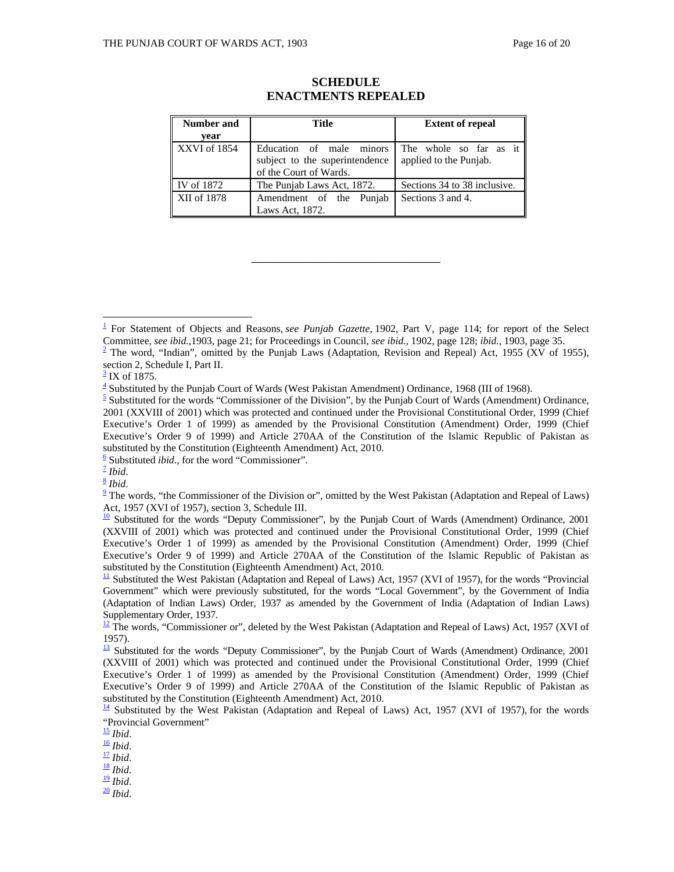| <b>Number and</b> | Title                                                                                | <b>Extent of repeal</b>                          |
|-------------------|--------------------------------------------------------------------------------------|--------------------------------------------------|
| vear              |                                                                                      |                                                  |
| XXVI of 1854      | Education of male minors<br>subject to the superintendence<br>of the Court of Wards. | The whole so far as it<br>applied to the Punjab. |
| IV of 1872        | The Punjab Laws Act, 1872.                                                           | Sections 34 to 38 inclusive.                     |
| XII of 1878       | Amendment of the Punjab<br>Laws Act, 1872.                                           | Sections 3 and 4.                                |

## **SCHEDULE ENACTMENTS REPEALED**

\_\_\_\_\_\_\_\_\_\_\_\_\_\_\_\_\_\_\_\_\_\_\_\_\_\_\_

 $\overline{a}$ 

 $\frac{9}{2}$  The words, "the Commissioner of the Division or", omitted by the West Pakistan (Adaptation and Repeal of Laws) Act, 1957 (XVI of 1957), section 3, Schedule III.

<sup>&</sup>lt;sup>1</sup> For Statement of Objects and Reasons, *see Punjab Gazette*, 1902, Part V, page 114; for report of the Select Committee, *see ibid.,*1903, page 21; for Proceedings in Council, *see ibid.,* 1902, page 128; *ibid.,* 1903, page 35. 2

 $2$  The word, "Indian", omitted by the Punjab Laws (Adaptation, Revision and Repeal) Act, 1955 (XV of 1955), section 2, Schedule I, Part II.

 $\frac{3}{2}$  IX of 1875.

<sup>&</sup>lt;sup>4</sup> Substituted by the Punjab Court of Wards (West Pakistan Amendment) Ordinance, 1968 (III of 1968).

 $\frac{5}{5}$  Substituted for the words "Commissioner of the Division", by the Punjab Court of Wards (Amendment) Ordinance, 2001 (XXVIII of 2001) which was protected and continued under the Provisional Constitutional Order, 1999 (Chief Executive's Order 1 of 1999) as amended by the Provisional Constitution (Amendment) Order, 1999 (Chief Executive's Order 9 of 1999) and Article 270AA of the Constitution of the Islamic Republic of Pakistan as substituted by the Constitution (Eighteenth Amendment) Act, 2010.

<sup>&</sup>lt;sup>6</sup> Substituted *ibid*., for the word "Commissioner".<br>
<sup>7</sup> *Ibid*.<br>
<sup>8</sup> *Ibid*. 9 The words "the Commissioner of the Division of

 $\frac{10}{2}$  Substituted for the words "Deputy Commissioner", by the Punjab Court of Wards (Amendment) Ordinance, 2001 (XXVIII of 2001) which was protected and continued under the Provisional Constitutional Order, 1999 (Chief Executive's Order 1 of 1999) as amended by the Provisional Constitution (Amendment) Order, 1999 (Chief Executive's Order 9 of 1999) and Article 270AA of the Constitution of the Islamic Republic of Pakistan as substituted by the Constitution (Eighteenth Amendment) Act, 2010.

 $\frac{11}{11}$  Substituted the West Pakistan (Adaptation and Repeal of Laws) Act, 1957 (XVI of 1957), for the words "Provincial Government" which were previously substituted, for the words "Local Government", by the Government of India (Adaptation of Indian Laws) Order, 1937 as amended by the Government of India (Adaptation of Indian Laws) Supplementary Order, 1937.

 $\frac{12}{12}$  The words, "Commissioner or", deleted by the West Pakistan (Adaptation and Repeal of Laws) Act, 1957 (XVI of 1957).

 $\frac{13}{13}$  Substituted for the words "Deputy Commissioner", by the Punjab Court of Wards (Amendment) Ordinance, 2001 (XXVIII of 2001) which was protected and continued under the Provisional Constitutional Order, 1999 (Chief Executive's Order 1 of 1999) as amended by the Provisional Constitution (Amendment) Order, 1999 (Chief Executive's Order 9 of 1999) and Article 270AA of the Constitution of the Islamic Republic of Pakistan as substituted by the Constitution (Eighteenth Amendment) Act, 2010.

<sup>14</sup> Substituted by the West Pakistan (Adaptation and Repeal of Laws) Act, 1957 (XVI of 1957)*,* for the words "Provincial Government"<br><sup>15</sup> Ibid.

<sup>15</sup> *Ibid*. 16 *Ibid*. 17 *Ibid*. 18 *Ibid*. 19 *Ibid*. 20 *Ibid*.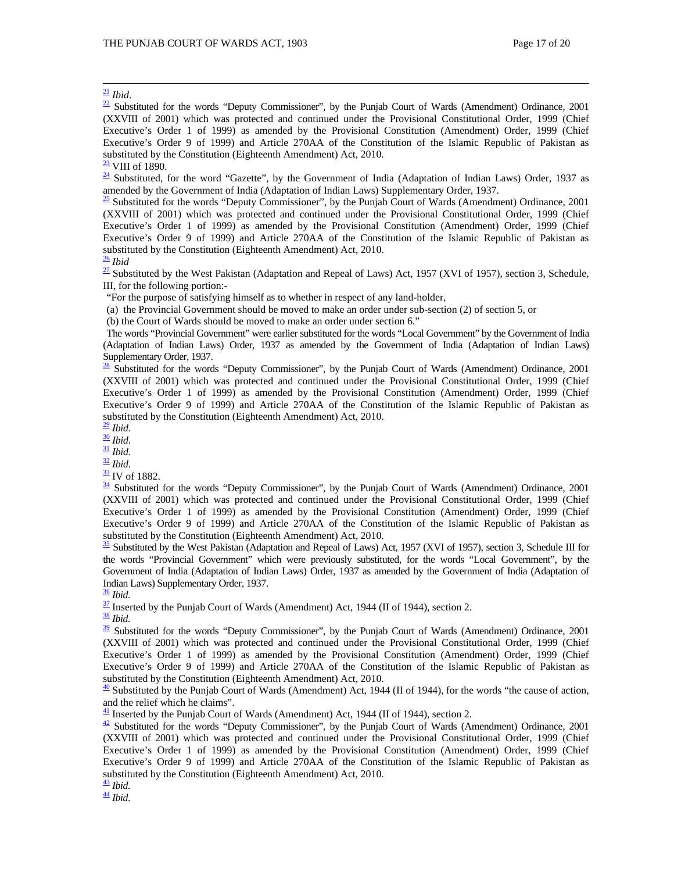$\frac{21}{22}$  *Ibid*.<br><sup>22</sup> Substituted for the words "Deputy Commissioner", by the Punjab Court of Wards (Amendment) Ordinance, 2001 (XXVIII of 2001) which was protected and continued under the Provisional Constitutional Order, 1999 (Chief Executive's Order 1 of 1999) as amended by the Provisional Constitution (Amendment) Order, 1999 (Chief Executive's Order 9 of 1999) and Article 270AA of the Constitution of the Islamic Republic of Pakistan as substituted by the Constitution (Eighteenth Amendment) Act, 2010.

 $\frac{23}{4}$  VIII of 1890.<br><sup>24</sup> Substituted, for the word "Gazette", by the Government of India (Adaptation of Indian Laws) Order, 1937 as amended by the Government of India (Adaptation of Indian Laws) Supplementary Order, 1937.

 $\frac{25}{25}$  Substituted for the words "Deputy Commissioner", by the Punjab Court of Wards (Amendment) Ordinance, 2001 (XXVIII of 2001) which was protected and continued under the Provisional Constitutional Order, 1999 (Chief Executive's Order 1 of 1999) as amended by the Provisional Constitution (Amendment) Order, 1999 (Chief Executive's Order 9 of 1999) and Article 270AA of the Constitution of the Islamic Republic of Pakistan as substituted by the Constitution (Eighteenth Amendment) Act, 2010.<br> $\frac{26}{10}$  *Ibid* 

 $\frac{27}{27}$  Substituted by the West Pakistan (Adaptation and Repeal of Laws) Act, 1957 (XVI of 1957), section 3, Schedule, III, for the following portion:-

"For the purpose of satisfying himself as to whether in respect of any land-holder,

(a) the Provincial Government should be moved to make an order under sub-section (2) of section 5, or

(b) the Court of Wards should be moved to make an order under section 6."

The words "Provincial Government" were earlier substituted for the words "Local Government" by the Government of India (Adaptation of Indian Laws) Order, 1937 as amended by the Government of India (Adaptation of Indian Laws) Supplementary Order, 1937.

 $\frac{28}{28}$  Substituted for the words "Deputy Commissioner", by the Punjab Court of Wards (Amendment) Ordinance, 2001 (XXVIII of 2001) which was protected and continued under the Provisional Constitutional Order, 1999 (Chief Executive's Order 1 of 1999) as amended by the Provisional Constitution (Amendment) Order, 1999 (Chief Executive's Order 9 of 1999) and Article 270AA of the Constitution of the Islamic Republic of Pakistan as substituted by the Constitution (Eighteenth Amendment) Act, 2010.<br> $\frac{29 \text{ Ibid.}}{ }$ 

<sup>20</sup> *Ibid.*<br><sup>31</sup> *Ibid.* 32 *Ibid.* 32 *Ibid.* 32 *Ibid.* 33 IV of 1882.<br><sup>34</sup> Substituted for the words "Deputy Commissioner", by the Punjab Court of Wards (Amendment) Ordinance, 2001 (XXVIII of 2001) which was protected and continued under the Provisional Constitutional Order, 1999 (Chief Executive's Order 1 of 1999) as amended by the Provisional Constitution (Amendment) Order, 1999 (Chief Executive's Order 9 of 1999) and Article 270AA of the Constitution of the Islamic Republic of Pakistan as substituted by the Constitution (Eighteenth Amendment) Act, 2010.

 $\frac{35}{25}$  Substituted by the West Pakistan (Adaptation and Repeal of Laws) Act, 1957 (XVI of 1957), section 3, Schedule III for the words "Provincial Government" which were previously substituted, for the words "Local Government", by the Government of India (Adaptation of Indian Laws) Order, 1937 as amended by the Government of India (Adaptation of Indian Laws) Supplementary Order, 1937.<br>
<sup>36</sup> Ibid.

<sup>37</sup> Inserted by the Punjab Court of Wards (Amendment) Act, 1944 (II of 1944), section 2.<br><sup>38</sup> *Ibid.*<br><sup>39</sup> Substituted for the words "Deputy Commissioner", by the Punjab Court of Wards (Amendment) Ordinance, 2001 (XXVIII of 2001) which was protected and continued under the Provisional Constitutional Order, 1999 (Chief Executive's Order 1 of 1999) as amended by the Provisional Constitution (Amendment) Order, 1999 (Chief Executive's Order 9 of 1999) and Article 270AA of the Constitution of the Islamic Republic of Pakistan as substituted by the Constitution (Eighteenth Amendment) Act, 2010.

 $\frac{40}{2}$  Substituted by the Punjab Court of Wards (Amendment) Act, 1944 (II of 1944), for the words "the cause of action, and the relief which he claims".<br> $\frac{41}{1}$  Inserted by the Punjab Court of Wards (Amendment) Act, 1944 (II of 1944), section 2.

 $\frac{42}{2}$  Substituted for the words "Deputy Commissioner", by the Punjab Court of Wards (Amendment) Ordinance, 2001 (XXVIII of 2001) which was protected and continued under the Provisional Constitutional Order, 1999 (Chief Executive's Order 1 of 1999) as amended by the Provisional Constitution (Amendment) Order, 1999 (Chief Executive's Order 9 of 1999) and Article 270AA of the Constitution of the Islamic Republic of Pakistan as substituted by the Constitution (Eighteenth Amendment) Act, 2010.

 $\frac{43}{44}$  *Ibid.*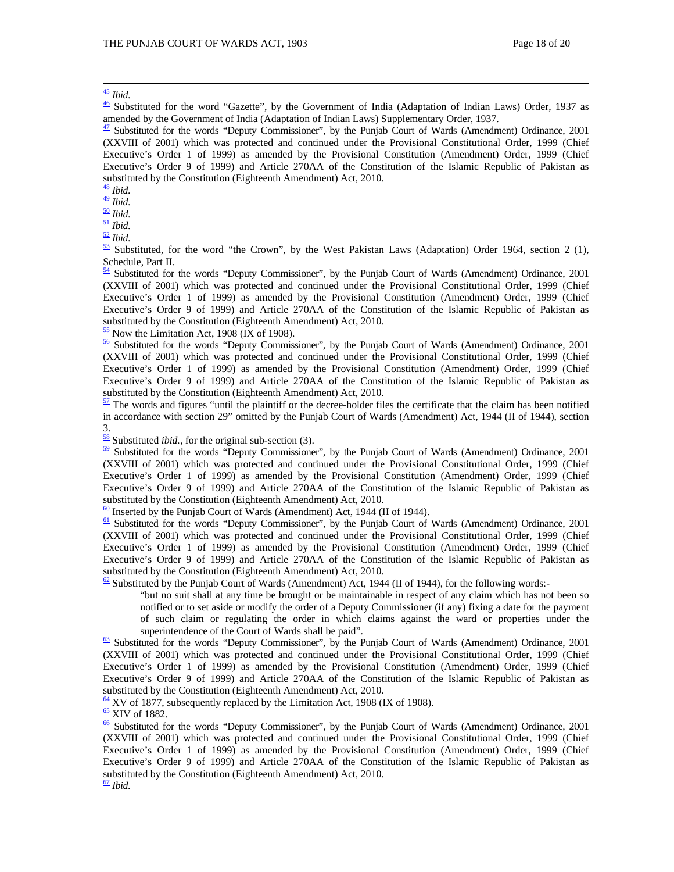<sup>45</sup> *Ibid*. 46 Substituted for the word "Gazette", by the Government of India (Adaptation of Indian Laws) Order, 1937 as amended by the Government of India (Adaptation of Indian Laws) Supplementary Order, 1937.

 $\frac{47}{2}$  Substituted for the words "Deputy Commissioner", by the Punjab Court of Wards (Amendment) Ordinance, 2001 (XXVIII of 2001) which was protected and continued under the Provisional Constitutional Order, 1999 (Chief Executive's Order 1 of 1999) as amended by the Provisional Constitution (Amendment) Order, 1999 (Chief Executive's Order 9 of 1999) and Article 270AA of the Constitution of the Islamic Republic of Pakistan as substituted by the Constitution (Eighteenth Amendment) Act, 2010.<br> $\frac{48}{10}$  Ibid.

49 *Ibid.*<br>
50 *Ibid.*<br>
52 *Ibid.*<br>
53 *Substituted, for the word "the Crown", by the West Pakistan Laws (Adaptation) Order 1964, section 2 (1), <br>
53 Substituted, for the word "the Crown", by the West Pakistan Laws (Adapta* Schedule, Part II.

 $54$  Substituted for the words "Deputy Commissioner", by the Punjab Court of Wards (Amendment) Ordinance, 2001 (XXVIII of 2001) which was protected and continued under the Provisional Constitutional Order, 1999 (Chief Executive's Order 1 of 1999) as amended by the Provisional Constitution (Amendment) Order, 1999 (Chief Executive's Order 9 of 1999) and Article 270AA of the Constitution of the Islamic Republic of Pakistan as substituted by the Constitution (Eighteenth Amendment) Act, 2010.<br><sup>55</sup> Now the Limitation Act, 1908 (IX of 1908).

 $\frac{56}{2}$  Substituted for the words "Deputy Commissioner", by the Punjab Court of Wards (Amendment) Ordinance, 2001 (XXVIII of 2001) which was protected and continued under the Provisional Constitutional Order, 1999 (Chief Executive's Order 1 of 1999) as amended by the Provisional Constitution (Amendment) Order, 1999 (Chief Executive's Order 9 of 1999) and Article 270AA of the Constitution of the Islamic Republic of Pakistan as substituted by the Constitution (Eighteenth Amendment) Act, 2010.

 $\frac{57}{2}$  The words and figures "until the plaintiff or the decree-holder files the certificate that the claim has been notified in accordance with section 29" omitted by the Punjab Court of Wards (Amendment) Act, 1944 (II of 1944), section 3.<br> $\frac{58}{18}$  Substituted *ibid.*, for the original sub-section (3).

<sup>59</sup> Substituted for the words "Deputy Commissioner", by the Punjab Court of Wards (Amendment) Ordinance, 2001 (XXVIII of 2001) which was protected and continued under the Provisional Constitutional Order, 1999 (Chief Executive's Order 1 of 1999) as amended by the Provisional Constitution (Amendment) Order, 1999 (Chief Executive's Order 9 of 1999) and Article 270AA of the Constitution of the Islamic Republic of Pakistan as substituted by the Constitution (Eighteenth Amendment) Act, 2010.<br> $\frac{60}{2}$  Inserted by the Punjab Court of Wards (Amendment) Act, 1944 (II of 1944).

 $\frac{61}{2}$  Substituted for the words "Deputy Commissioner", by the Punjab Court of Wards (Amendment) Ordinance, 2001 (XXVIII of 2001) which was protected and continued under the Provisional Constitutional Order, 1999 (Chief Executive's Order 1 of 1999) as amended by the Provisional Constitution (Amendment) Order, 1999 (Chief Executive's Order 9 of 1999) and Article 270AA of the Constitution of the Islamic Republic of Pakistan as substituted by the Constitution (Eighteenth Amendment) Act, 2010.

 $\frac{62}{2}$  Substituted by the Punjab Court of Wards (Amendment) Act, 1944 (II of 1944), for the following words:-

"but no suit shall at any time be brought or be maintainable in respect of any claim which has not been so notified or to set aside or modify the order of a Deputy Commissioner (if any) fixing a date for the payment of such claim or regulating the order in which claims against the ward or properties under the superintendence of the Court of Wards shall be paid".<br>
<u><sup>63</sup></u> Substituted for the words "Deputy Commissioner", by the Punjab Court of Wards (Amendment) Ordinance, 2001

(XXVIII of 2001) which was protected and continued under the Provisional Constitutional Order, 1999 (Chief Executive's Order 1 of 1999) as amended by the Provisional Constitution (Amendment) Order, 1999 (Chief Executive's Order 9 of 1999) and Article 270AA of the Constitution of the Islamic Republic of Pakistan as substituted by the Constitution (Eighteenth Amendment) Act, 2010.<br>
<u><sup>64</sup></u> XV of 1877, subsequently replaced by the Limitation Act, 1908 (IX of 1908).

 $\frac{65}{6}$  XIV of 1882.  $\frac{65}{6}$  Substituted for the words "Deputy Commissioner", by the Punjab Court of Wards (Amendment) Ordinance, 2001 (XXVIII of 2001) which was protected and continued under the Provisional Constitutional Order, 1999 (Chief Executive's Order 1 of 1999) as amended by the Provisional Constitution (Amendment) Order, 1999 (Chief Executive's Order 9 of 1999) and Article 270AA of the Constitution of the Islamic Republic of Pakistan as substituted by the Constitution (Eighteenth Amendment) Act, 2010. <sup>67</sup> *Ibid*.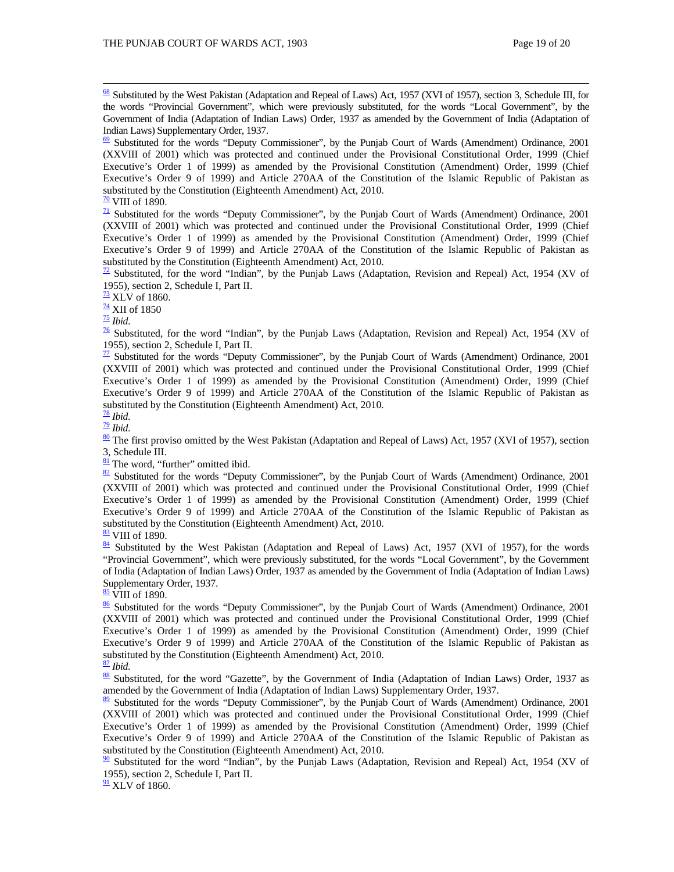68 Substituted by the West Pakistan (Adaptation and Repeal of Laws) Act, 1957 (XVI of 1957), section 3, Schedule III, for the words "Provincial Government", which were previously substituted, for the words "Local Government", by the Government of India (Adaptation of Indian Laws) Order, 1937 as amended by the Government of India (Adaptation of Indian Laws) Supplementary Order, 1937.

 $\frac{69}{2}$  Substituted for the words "Deputy Commissioner", by the Punjab Court of Wards (Amendment) Ordinance, 2001 (XXVIII of 2001) which was protected and continued under the Provisional Constitutional Order, 1999 (Chief Executive's Order 1 of 1999) as amended by the Provisional Constitution (Amendment) Order, 1999 (Chief Executive's Order 9 of 1999) and Article 270AA of the Constitution of the Islamic Republic of Pakistan as substituted by the Constitution (Eighteenth Amendment) Act, 2010.  $\frac{70}{10}$  VIII of 1890.

 $\frac{71}{2}$  Substituted for the words "Deputy Commissioner", by the Punjab Court of Wards (Amendment) Ordinance, 2001 (XXVIII of 2001) which was protected and continued under the Provisional Constitutional Order, 1999 (Chief Executive's Order 1 of 1999) as amended by the Provisional Constitution (Amendment) Order, 1999 (Chief Executive's Order 9 of 1999) and Article 270AA of the Constitution of the Islamic Republic of Pakistan as substituted by the Constitution (Eighteenth Amendment) Act, 2010.

 $\frac{72}{2}$  Substituted, for the word "Indian", by the Punjab Laws (Adaptation, Revision and Repeal) Act, 1954 (XV of 1955), section 2, Schedule I, Part II.<br> $\frac{73}{12}$ XLV of 1860.

<sup>74</sup> XII of 1850<br><sup>75</sup> *Ibid. 75 Ibid. The Word "Indian"*, by the Punjab Laws (Adaptation, Revision and Repeal) Act, 1954 (XV of  $\frac{76}{10}$  Substituted, for the word "Indian", by the Punjab Laws (Adaptation, Revision 1955), section 2, Schedule I, Part II.

 $\frac{77}{2}$  Substituted for the words "Deputy Commissioner", by the Punjab Court of Wards (Amendment) Ordinance, 2001 (XXVIII of 2001) which was protected and continued under the Provisional Constitutional Order, 1999 (Chief Executive's Order 1 of 1999) as amended by the Provisional Constitution (Amendment) Order, 1999 (Chief Executive's Order 9 of 1999) and Article 270AA of the Constitution of the Islamic Republic of Pakistan as substituted by the Constitution (Eighteenth Amendment) Act, 2010.<br> $\frac{78}{10}$  Ibid.

<sup>78</sup> *Ibid*. 79 *Ibid*. 80 The first proviso omitted by the West Pakistan (Adaptation and Repeal of Laws) Act, 1957 (XVI of 1957), section

3, Schedule III.<br> $\frac{81}{1}$  The word, "further" omitted ibid.

 $\frac{82}{2}$  Substituted for the words "Deputy Commissioner", by the Punjab Court of Wards (Amendment) Ordinance, 2001 (XXVIII of 2001) which was protected and continued under the Provisional Constitutional Order, 1999 (Chief Executive's Order 1 of 1999) as amended by the Provisional Constitution (Amendment) Order, 1999 (Chief Executive's Order 9 of 1999) and Article 270AA of the Constitution of the Islamic Republic of Pakistan as substituted by the Constitution (Eighteenth Amendment) Act, 2010.

<sup>83</sup> VIII of 1890. 84 Substituted by the West Pakistan (Adaptation and Repeal of Laws) Act, 1957 (XVI of 1957)*,* for the words "Provincial Government", which were previously substituted, for the words "Local Government", by the Government of India (Adaptation of Indian Laws) Order, 1937 as amended by the Government of India (Adaptation of Indian Laws) Supplementary Order, 1937.<br>
<u>85</u> VIII of 1890.

 $86$  Substituted for the words "Deputy Commissioner", by the Punjab Court of Wards (Amendment) Ordinance, 2001 (XXVIII of 2001) which was protected and continued under the Provisional Constitutional Order, 1999 (Chief Executive's Order 1 of 1999) as amended by the Provisional Constitution (Amendment) Order, 1999 (Chief Executive's Order 9 of 1999) and Article 270AA of the Constitution of the Islamic Republic of Pakistan as substituted by the Constitution (Eighteenth Amendment) Act, 2010.  $\frac{87}{2}$  Ibid.

88 Substituted, for the word "Gazette", by the Government of India (Adaptation of Indian Laws) Order, 1937 as amended by the Government of India (Adaptation of Indian Laws) Supplementary Order, 1937.

 $\frac{89}{2}$  Substituted for the words "Deputy Commissioner", by the Punjab Court of Wards (Amendment) Ordinance, 2001 (XXVIII of 2001) which was protected and continued under the Provisional Constitutional Order, 1999 (Chief Executive's Order 1 of 1999) as amended by the Provisional Constitution (Amendment) Order, 1999 (Chief Executive's Order 9 of 1999) and Article 270AA of the Constitution of the Islamic Republic of Pakistan as substituted by the Constitution (Eighteenth Amendment) Act, 2010.

 $\frac{90}{90}$  Substituted for the word "Indian", by the Punjab Laws (Adaptation, Revision and Repeal) Act, 1954 (XV of 1955), section 2, Schedule I, Part II.

 $\frac{91}{2}$  XLV of 1860.